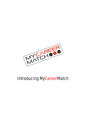

## Introducing MyCareerMatch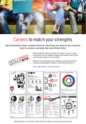

### Careers to match your strengths

MyCareerMatch helps students discover what they are good at and matches them to careers and jobs that need these skills.



MyCareerMatch online quiz takes 10 minutes. We ask a series of questions and our software analyses the answers and creates a personalised report for each student.

Reports are empowering, build confidence and self awareness inspiring young people to choose a career they will excel at.

#### *Click image below to view MCM report*



MyCareerMatch is a trademark of MyProfile Pty Ltd, leaders in career assessment services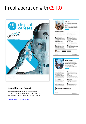# In collaboration with CSIRO



Driver Analyser 11 October 2021, 12:54

### **Digital Careers Report**

In collaboration with CSIRO, MyCareerMatch includes a matching technologies career profile to encourage students to consider a career in digital.

Click image above to view report



#### Education

#### John In Edu

o٠

 $\bullet$ 

 $\bullet$ 

**ENDACOURSE CUNIVERSITY** VOCATIONAL

Training Material De or builting nal Techn **O**E

۰

**O** Learning Lab Co



San Sing

### **Data Analyst**

#### Discover Jobs In Data Analyst **O** Data Engin

ΘB. ses Intelligence Analyst

**O** Data Scientist

**O** Big Data F

◎

FIND A COURSE UNIT

Sam Smipson<br>Drivar Aealysia

 $\bigcirc$ 

**O** Data A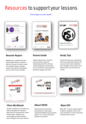## Resources to support your lessons

#### *Click images to view reports*



#### **Resume Report Farent Guide 55 Study Tips**

MyResume is packed with tips and valuable advice on what to add to a resume to make it stand out and get noticed. Includes access to hundreds of templates and an online resume builder.



#### **Parent Guide**

Guides help Parents, Teachers and Counsellors improve relationships with the child. By understanding their personality you can motivate, encourage and positively engage with them.



Study Tips helps you understand how your personality impacts the way you like to learn. Maximise your strengths and minimise your weaknesses to be the best you can be.

|                                  | MATCHOS |                         |  |
|----------------------------------|---------|-------------------------|--|
|                                  |         |                         |  |
|                                  |         | <b>STUDENT WORKBOOK</b> |  |
|                                  |         |                         |  |
|                                  |         | <b>LOVE</b>             |  |
|                                  |         |                         |  |
|                                  |         | <b>WHAT YOU</b>         |  |
|                                  |         |                         |  |
|                                  |         |                         |  |
| <b>Nickelland</b><br>SCHOOL TEAR |         |                         |  |
| <b>EMTL</b>                      |         |                         |  |

### **Class Workbook About MCM**

Student workbook is the follow up exercise program for students after they've received their Career Profile report. Students are encouraged to further explore their strengths and career options.





Download this PowerPoint presentation to help pupils understand different personalities styles in TV, movies and books. Includes instructions.

### **Blast OFF**

Blast OFF is a work ready program. Students complete at their own pace and there's a short test based on what they've learnt.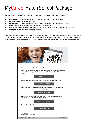# MyCareerMatch School Package

The MyCareerMatch program for Year 9 - 12 comprises six reports, guides and resources.

- **1. Career Profile** matching hundreds of careers to each student's personal strengths
- **2. Class Workbook** follow up exercises
- **3. Resume Guide** packed full of tips to write a great resume plus an online resume builder
- **4. Home Study Tips** study improvement guide for each student
- **5. Parent Teacher Counsellor Guide** motivate and encourage each child based on their personality
- **6. MyDigitalCareer** discover technology careers

Students can download their Career Profile report immediately after completing the questionnaire. It appears on the screen as a download link and can save to their device. The Career Profile report together with other reports is emailed to the student and copy cc'd to you. Students select the reports they wish to access and download.

| MYCARE                                                                                                                                                                                            |  |
|---------------------------------------------------------------------------------------------------------------------------------------------------------------------------------------------------|--|
| <b>Hello Sam</b>                                                                                                                                                                                  |  |
| Congratulations on completing MyCareerMatch.                                                                                                                                                      |  |
| Step1. If you have not already done so, choose and click the link to download your prefered<br>report. To Save your report after downloading, select File then Save As and choose your<br>Folder. |  |
| <b>CAREER PROFILE</b>                                                                                                                                                                             |  |
| Are you interested in a technology career? Discover the digital careers right for you.                                                                                                            |  |
| <b>DIGITAL CAREERS</b>                                                                                                                                                                            |  |
| Step2. To assist you in your home studies, we have prepared a Study Guide for you to<br>download. It contains helpful information to improve your study habits at home.                           |  |
| <b>HOME STUDY GUIDE</b>                                                                                                                                                                           |  |
| Step3. To help you better understand your Report and Study Guide, we recommend<br>downloading and completing the Student Workbook.                                                                |  |
| <b>STUDENT WORKBOOK</b>                                                                                                                                                                           |  |
| Step4. And finally, to guide you through the process of writing your resume.                                                                                                                      |  |
| <b>RESUME REPORT</b>                                                                                                                                                                              |  |
| Kind regards,<br>The team at MyCareerMatch                                                                                                                                                        |  |
| MyCareerMatch - Myprofile Pty Ltd<br>MyCareerMatch                                                                                                                                                |  |